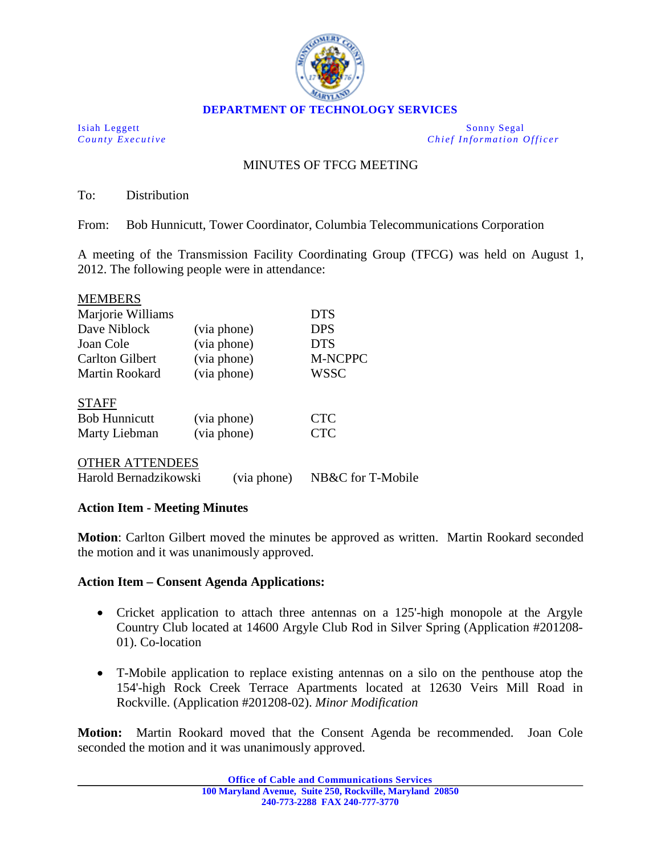

Isiah Leggett Sonny Segal *County Executive Chief Information Officer*

## MINUTES OF TFCG MEETING

To: Distribution

From: Bob Hunnicutt, Tower Coordinator, Columbia Telecommunications Corporation

A meeting of the Transmission Facility Coordinating Group (TFCG) was held on August 1, 2012. The following people were in attendance:

| <b>MEMBERS</b>         |             |             |
|------------------------|-------------|-------------|
| Marjorie Williams      |             | <b>DTS</b>  |
| Dave Niblock           | (via phone) | <b>DPS</b>  |
| Joan Cole              | (via phone) | <b>DTS</b>  |
| <b>Carlton Gilbert</b> | (via phone) | M-NCPPC     |
| Martin Rookard         | (via phone) | <b>WSSC</b> |
| <b>STAFF</b>           |             |             |
| <b>Bob Hunnicutt</b>   | (via phone) | <b>CTC</b>  |
| Marty Liebman          | (via phone) | <b>CTC</b>  |
|                        |             |             |

OTHER ATTENDEES

Harold Bernadzikowski (via phone) NB&C for T-Mobile

## **Action Item - Meeting Minutes**

**Motion**: Carlton Gilbert moved the minutes be approved as written. Martin Rookard seconded the motion and it was unanimously approved.

## **Action Item – Consent Agenda Applications:**

- Cricket application to attach three antennas on a 125-high monopole at the Argyle Country Club located at 14600 Argyle Club Rod in Silver Spring (Application #201208- 01). Co-location
- T-Mobile application to replace existing antennas on a silo on the penthouse atop the 154'-high Rock Creek Terrace Apartments located at 12630 Veirs Mill Road in Rockville. (Application #201208-02). *Minor Modification*

**Motion:** Martin Rookard moved that the Consent Agenda be recommended. Joan Cole seconded the motion and it was unanimously approved.